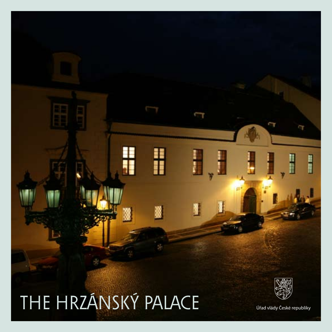## THE HRZÁNSKÝ PALACE

H

Ŧ



I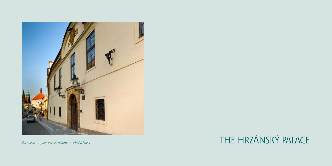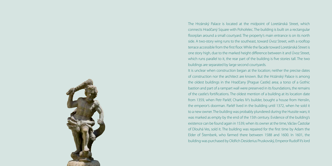

The Hrzánský Palace is located at the midpoint of Loretánská Street, which connects Hradčaný Square with Pohořelec. The building is built on a rectangular floorplan around a small courtyard. The property's main entrance is on its north side. A two-story wing runs to the southeast, toward Úvoz Street, with a rooftop terrace accessible from the first floor. While the facade toward Loretánská Street is one story high, due to the marked height difference between it and Úvoz Street, which runs parallel to it, the rear part of the building is five stories tall. The two buildings are separated by large second courtyards.

It is unclear when construction began at the location; neither the precise dates of construction nor the architect are known. But the Hrzánský Palace is among the oldest buildings in the Hradčany [Prague Castle] area; a torso of a Gothic bastion and part of a rampart wall were preserved in its foundations, the remains of the castle's fortifications. The oldest mention of a building at its location date from 1359, when Petr Parléř, Charles IV's builder, bought a house from Henslin, the emperor's doorman. Parléř lived in the building until 1372, when he sold it to a new owner. The building was probably plundered during the Hussite wars; it was marked as empty by the end of the 15th century. Evidence of the building's existence can be found again in 1539, when its owner at the time, Václav Častolar of Dlouhá Ves, sold it. The building was repaired for the first time by Adam the Elder of Šternberk, who farmed there between 1588 and 1600. In 1601, the building was purchased by Oldřich Desiderius Pruskovský, Emperor Rudolf II's lord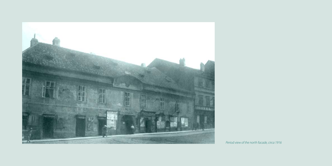

*Period view of the north facade, circa 1916*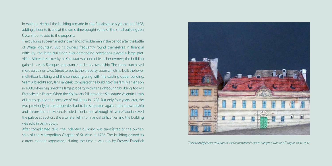in waiting. He had the building remade in the Renaissance style around 1608, adding a floor to it, and at the same time bought some of the small buildings on Úvoz Street to add to the property.

The building also remained in the hands of noblemen in the period after the Battle of White Mountain. But its owners frequently found themselves in financial difficulty; the large building's ever-demanding operations played a large part. Vilém Albrecht Krakovský of Kolowrat was one of its richer owners; the building gained its early Baroque appearance under his ownership. The count purchased more parcels on Úvoz Street to add to the property, upon which he built the lower multi-floor building and the connecting wing with the existing upper building. Vilém Albrecht's son, Jan František, completed the building of his family's mansion in 1688, when he joined the large property with its neighbouring building, today's Dietrichstein Palace. When the Kolowrats fell into debt, Sigismund Valentin Hrzán of Harras gained the complex of buildings in 1708. But only four years later, the two previously-joined properties had to be separated again, both in ownership and in construction. Hrzán also died in debt, and although his wife, Claudia, saved the palace at auction, she also later fell into financial difficulties and the building was sold in bankruptcy.

After complicated talks, the indebted building was transferred to the ownership of the Metropolitan Chapter of St. Vitus in 1756. The building gained its current exterior appearance during the time it was run by Provost František *The Hrzánský Palace and part of the Dietrichstein Palace in Langweil's Model of Prague, 1826–1837*

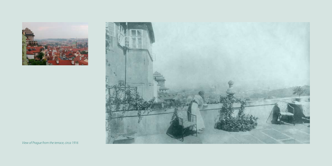



*View of Prague from the terrace, circa 1916*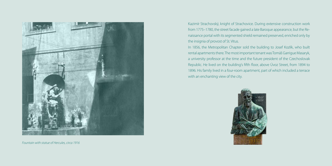

*Fountain with statue of Hercules, circa 1916*

Kazimír Strachovský, knight of Strachovice. During extensive construction work from 1775–1780, the street facade gained a late Baroque appearance, but the Renaissance portal with its segmented shield remained preserved, enriched only by the insignia of provost of St. Vitus.

In 1856, the Metropolitan Chapter sold the building to Josef Kozlík, who built rental apartments there. The most important tenant was Tomáš Garrigue Masaryk, a university professor at the time and the future president of the Czechoslovak Republic. He lived on the building's fifth floor, above Úvoz Street, from 1894 to 1896. His family lived in a four-room apartment, part of which included a terrace with an enchanting view of the city.

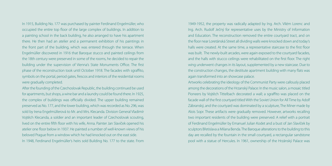In 1915, Building No. 177 was purchased by painter Ferdinand Engelmüller, who occupied the entire top floor of the large complex of buildings. In addition to a painting school in the back building, he also arranged to have his apartment there. He then had an atelier and a permanent exhibition of his paintings in the front part of the building, which was entered through the terrace. When Engelmüller discovered in 1916 that Baroque stucco and painted ceilings from the 18th century were preserved in some of the rooms, he decided to repair the building under the supervision of Vienna's State Monuments Office. The first phase of the reconstruction took until October 1918. The facades with sgraffito, symbols on the portal, period gates, frescos and interiors of the residential rooms were gradually completed.

After the founding of the Czechoslovak Republic, the building continued be used for apartments, but shops, a wine bar and a laundry could be found there. In 1925, the complex of buildings was officially divided. The upper building remained preserved as No. 177, and the lower building, which was recorded as No. 296, was sold by Irena Engelmüllerová to Mr. and Mrs. Klecanda. Division General Vladimír Vojtěch Klecanda, a soldier and an important leader of Czechoslovak scouting, lived on the entire fifth floor with his wife, Anna. Painter Jan Slavíček opened his atelier one floor below in 1937. He painted a number of well-known views of his beloved Prague from a window which he had knocked out on the east side. In 1948, Ferdinand Engelmüller's heirs sold Building No. 177 to the state. From

1949-1952, the property was radically adapted by Ing. Arch. Vilém Lorenc and Ing. Arch. Rudolf Ječný for representative uses by the Ministry of Information and Education. The reconstruction removed the entire courtyard tract, and on the floor near Loretánská Street all dividing walls were knocked down and today's halls were created. At the same time, a representative staircase to the first floor was built. The newly-built arcades, were again exposed to the courtyard facades, and the halls with stucco ceilings were rehabilitated on the first floor. The right wing underwent changes in its layout, supplemented by a new staircase. Due to the construction changes, the destitute apartment building with many flats was again transformed into an showcase palace.

Artworks celebrating the ideology of the Communist Party were callously placed among the decorations of the Hrzanský Palace: In the music salon, a mosaic titled Pioneers by Vojtěch Tittelbach decorated a wall; a sgraffito was placed on the facade wall of the first courtyard titled With the Soviet Union for All Time by Adolf Zábranský, and the courtyard was dominated by a sculpture, The Miner made by Alois Sopr. These artifacts were gradually removed. However, artworks recalling two important residents of the building were preserved: A relief with a portrait of Ferdinand Engelmüller by Emanuel Julian Kodet and a bust of Jan Slavíček by sculptors Břetislava a Milana Benda. The Baroque alterations to the building to this day are recalled by the fountain in the small courtyard, a rectangular sandstone pool with a statue of Hercules. In 1961, ownership of the Hrzánský Palace was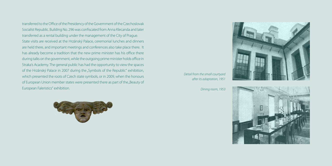transferred to the Office of the Presidency of the Government of the Czechoslovak Socialist Republic. Building No. 296 was confiscated from Anna Klecanda and later transferred as a rental building under the management of the City of Prague. State visits are received at the Hrzánský Palace, ceremonial lunches and dinners are held there, and important meetings and conferences also take place there. It has already become a tradition that the new prime minister has his office there during talks on the government, while the outgoing prime minister holds office in Straka's Academy. The general public has had the opportunity to view the spaces of the Hrzánský Palace in 2007 during the "Symbols of the Republic" exhibition, which presented the roots of Czech state symbols, or in 2009, when the honours of European Union member states were presented there as part of the "Beauty of European Faleristics" exhibition.



*Detail from the small courtyard after its adaptation, 1951*

*Dining room, 1953*



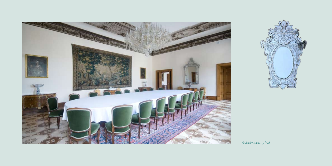



*Gobelin tapestry hall*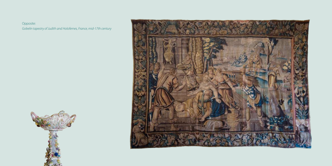Opposite: *Gobelin tapestry of Judith and Holofernes, France, mid-17th century*



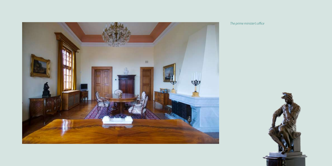

*The prime minister's office*

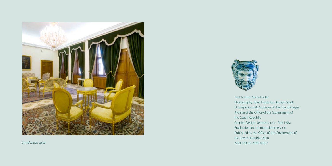



Text Author: Michal Kolář Photography: Karel Pazderka, Herbert Slavík, Ondřej Kocourek, Museum of the City of Prague, Archive of the Office of the Government of the Czech Republic Graphic Design: Jerome s. r. o. – Petr Liška Production and printing: Jerome s. r. o. Published by the Office of the Government of the Czech Republic, 2010 *Small music salon* ISBN 978-80-7440-040-7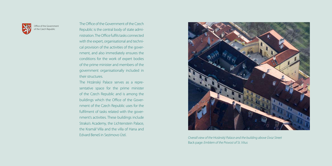

Office of the Government of the Czech Republic

The Office of the Government of the Czech Republic is the central body of state administration. The Office fulfils tasks connected with the expert, organisational and technical provision of the activities of the government, and also immediately ensures the conditions for the work of expert bodies of the prime minister and members of the government organisationally included in their structures.

The Hrzánský Palace serves as a representative space for the prime minister of the Czech Republic and is among the buildings which the Office of the Government of the Czech Republic uses for the fulfilment of tasks related with the government's activities. These buildings include Straka's Academy, the Lichtenstein Palace, the Kramář Villa and the villa of Hana and



Edvard Beneš in Sezimovo Ústí. *Overall view of the Hrzánský Palace and the building above Úvoz Street* Back page: *Emblem of the Provost of St. Vitus*